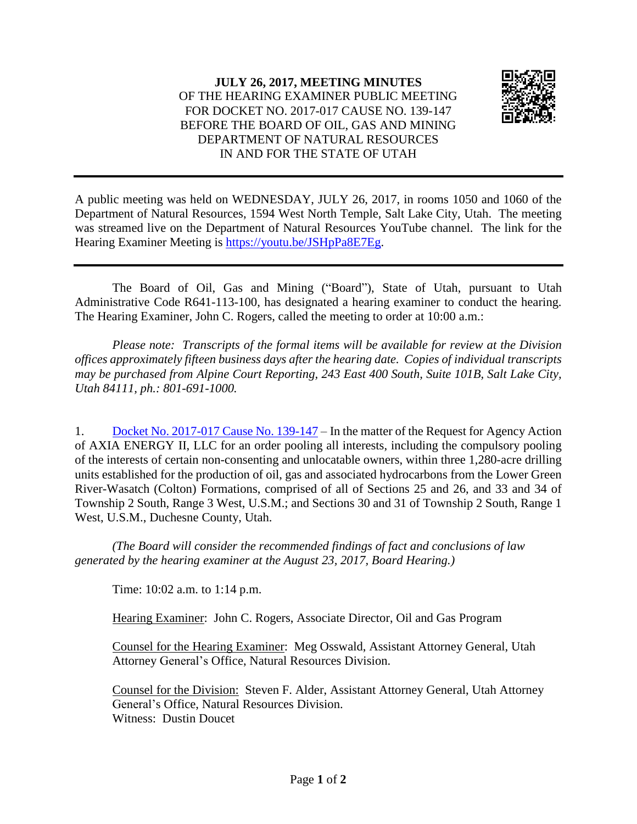

A public meeting was held on WEDNESDAY, JULY 26, 2017, in rooms 1050 and 1060 of the Department of Natural Resources, 1594 West North Temple, Salt Lake City, Utah. The meeting was streamed live on the Department of Natural Resources YouTube channel. The link for the Hearing Examiner Meeting is [https://youtu.be/JSHpPa8E7Eg.](https://youtu.be/JSHpPa8E7Eg)

The Board of Oil, Gas and Mining ("Board"), State of Utah, pursuant to Utah Administrative Code R641-113-100, has designated a hearing examiner to conduct the hearing. The Hearing Examiner, John C. Rogers, called the meeting to order at 10:00 a.m.:

*Please note: Transcripts of the formal items will be available for review at the Division offices approximately fifteen business days after the hearing date. Copies of individual transcripts may be purchased from Alpine Court Reporting, 243 East 400 South, Suite 101B, Salt Lake City, Utah 84111, ph.: 801-691-1000.*

1. Docket No. [2017-017](http://ogm.utah.gov/amr/boardtemp/redesign/2017/07_Jul/Dockets/2017-017_139-147_Axia.php) Cause No. 139-147 – In the matter of the Request for Agency Action of AXIA ENERGY II, LLC for an order pooling all interests, including the compulsory pooling of the interests of certain non-consenting and unlocatable owners, within three 1,280-acre drilling units established for the production of oil, gas and associated hydrocarbons from the Lower Green River-Wasatch (Colton) Formations, comprised of all of Sections 25 and 26, and 33 and 34 of Township 2 South, Range 3 West, U.S.M.; and Sections 30 and 31 of Township 2 South, Range 1 West, U.S.M., Duchesne County, Utah.

*(The Board will consider the recommended findings of fact and conclusions of law generated by the hearing examiner at the August 23, 2017, Board Hearing.)*

Time: 10:02 a.m. to 1:14 p.m.

Hearing Examiner: John C. Rogers, Associate Director, Oil and Gas Program

Counsel for the Hearing Examiner: Meg Osswald, Assistant Attorney General, Utah Attorney General's Office, Natural Resources Division.

Counsel for the Division: Steven F. Alder, Assistant Attorney General, Utah Attorney General's Office, Natural Resources Division. Witness: Dustin Doucet